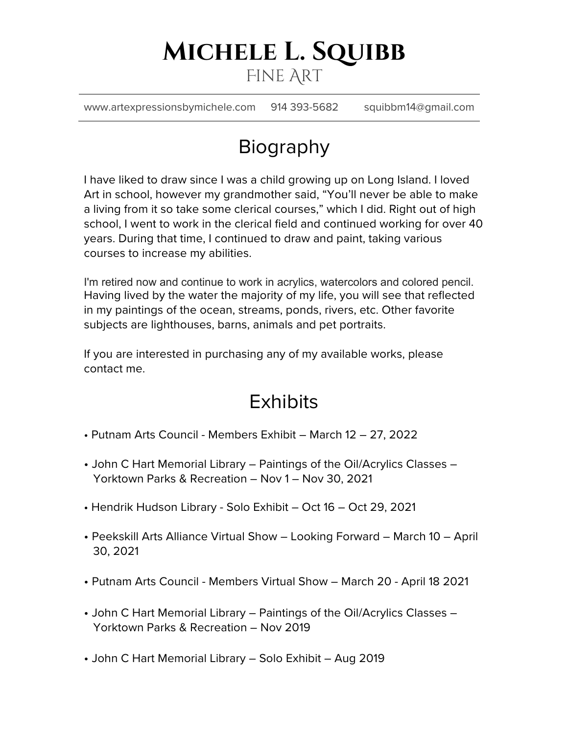## **Michele L. Squibb** Fine Art

www.artexpressionsbymichele.com 914 393-5682 squibbm14@gmail.com

# Biography

I have liked to draw since I was a child growing up on Long Island. I loved Art in school, however my grandmother said, "You'll never be able to make a living from it so take some clerical courses," which I did. Right out of high school, I went to work in the clerical field and continued working for over 40 years. During that time, I continued to draw and paint, taking various courses to increase my abilities.

I'm retired now and continue to work in acrylics, watercolors and colored pencil. Having lived by the water the majority of my life, you will see that reflected in my paintings of the ocean, streams, ponds, rivers, etc. Other favorite subjects are lighthouses, barns, animals and pet portraits.

If you are interested in purchasing any of my available works, please contact me.

### **Exhibits**

- Putnam Arts Council Members Exhibit March 12 27, 2022
- John C Hart Memorial Library Paintings of the Oil/Acrylics Classes Yorktown Parks & Recreation – Nov 1 – Nov 30, 2021
- Hendrik Hudson Library Solo Exhibit Oct 16 Oct 29, 2021
- Peekskill Arts Alliance Virtual Show Looking Forward March 10 April 30, 2021
- Putnam Arts Council Members Virtual Show March 20 April 18 2021
- John C Hart Memorial Library Paintings of the Oil/Acrylics Classes Yorktown Parks & Recreation – Nov 2019
- John C Hart Memorial Library Solo Exhibit Aug 2019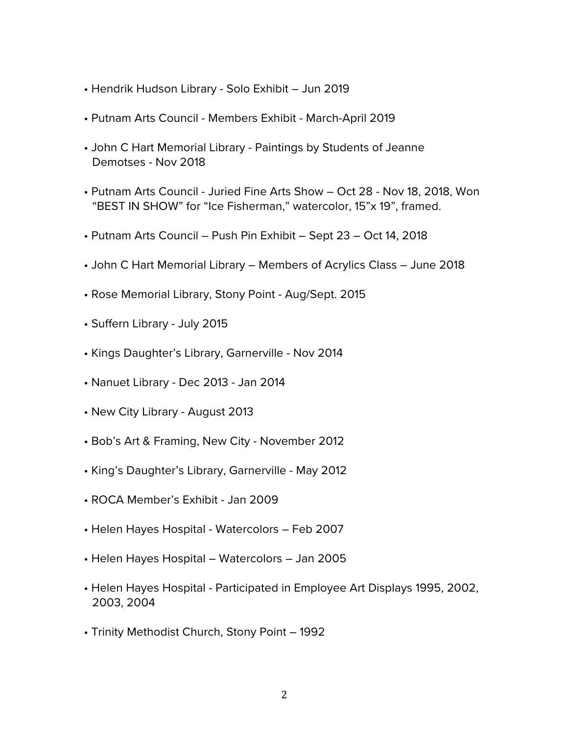- Hendrik Hudson Library Solo Exhibit Jun 2019
- Putnam Arts Council Members Exhibit March-April 2019
- John C Hart Memorial Library Paintings by Students of Jeanne Demotses - Nov 2018
- Putnam Arts Council Juried Fine Arts Show Oct 28 Nov 18, 2018, Won "BEST IN SHOW" for "Ice Fisherman," watercolor, 15"x 19", framed.
- Putnam Arts Council Push Pin Exhibit Sept 23 Oct 14, 2018
- John C Hart Memorial Library Members of Acrylics Class June 2018
- Rose Memorial Library, Stony Point Aug/Sept. 2015
- Suffern Library July 2015
- Kings Daughter's Library, Garnerville Nov 2014
- Nanuet Library Dec 2013 Jan 2014
- New City Library August 2013
- Bob's Art & Framing, New City November 2012
- King's Daughter's Library, Garnerville May 2012
- ROCA Member's Exhibit Jan 2009
- Helen Hayes Hospital Watercolors Feb 2007
- Helen Hayes Hospital Watercolors Jan 2005
- Helen Hayes Hospital Participated in Employee Art Displays 1995, 2002, 2003, 2004
- Trinity Methodist Church, Stony Point 1992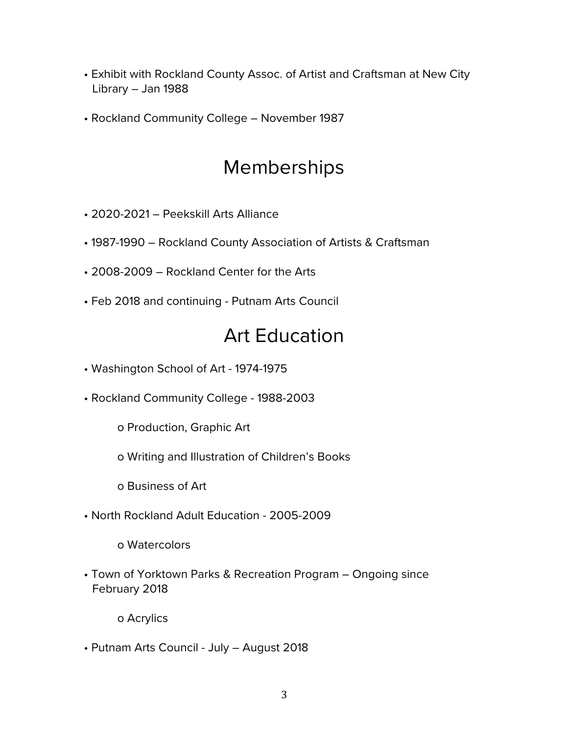- Exhibit with Rockland County Assoc. of Artist and Craftsman at New City Library – Jan 1988
- Rockland Community College November 1987

### Memberships

- 2020-2021 Peekskill Arts Alliance
- 1987-1990 Rockland County Association of Artists & Craftsman
- 2008-2009 Rockland Center for the Arts
- Feb 2018 and continuing Putnam Arts Council

### Art Education

- Washington School of Art 1974-1975
- Rockland Community College 1988-2003
	- o Production, Graphic Art
	- o Writing and Illustration of Children's Books
	- o Business of Art
- North Rockland Adult Education 2005-2009

o Watercolors

• Town of Yorktown Parks & Recreation Program – Ongoing since February 2018

o Acrylics

• Putnam Arts Council - July – August 2018